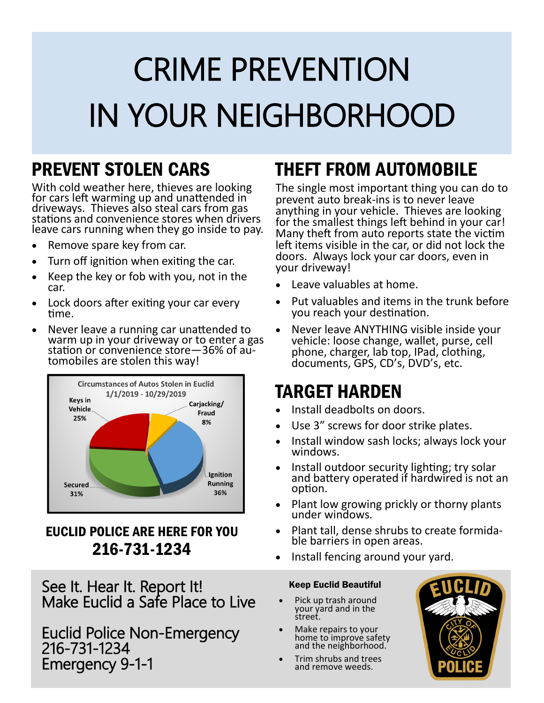# CRIME PREVENTION IN YOUR NEIGHBORHOOD

### PREVENT STOLEN CARS

With cold weather here, thieves are looking for cars left warming up and unattended in driveways. Thieves also steal cars from gas stations and convenience stores when drivers leave cars running when they go inside to pay.

- Remove spare key from car.
- Turn off ignition when exiting the car.
- Keep the key or fob with you, not in the car.
- Lock doors after exiting your car every time.
- Never leave a running car unattended to warm up in your driveway or to enter a gas station or convenience store—36% of automobiles are stolen this way!



### EUCLID POLICE ARE HERE FOR YOU 216-731-1234

See It. Hear It. Report It! Make Euclid a Safe Place to Live

Euclid Police Non-Emergency 216-731-1234 Emergency 9-1-1

### THEFT FROM AUTOMOBILE

The single most important thing you can do to prevent auto break-ins is to never leave anything in your vehicle. Thieves are looking for the smallest things left behind in your car! Many theft from auto reports state the victim left items visible in the car, or did not lock the doors. Always lock your car doors, even in your driveway!

- Leave valuables at home.
- Put valuables and items in the trunk before you reach your destination.
- Never leave ANYTHING visible inside your vehicle: loose change, wallet, purse, cell phone, charger, lab top, IPad, clothing, documents, GPS, CD's, DVD's, etc.

### TARGET HARDEN

- Install deadbolts on doors.
- Use 3" screws for door strike plates.
- Install window sash locks; always lock your windows.
- Install outdoor security lighting; try solar and battery operated if hardwired is not an option.
- Plant low growing prickly or thorny plants under windows.
- Plant tall, dense shrubs to create formidable barriers in open areas.
- Install fencing around your yard.

#### Keep Euclid Beautiful

- Pick up trash around your yard and in the street.
- Make repairs to your home to improve safety and the neighborhood.
- Trim shrubs and trees and remove weeds.